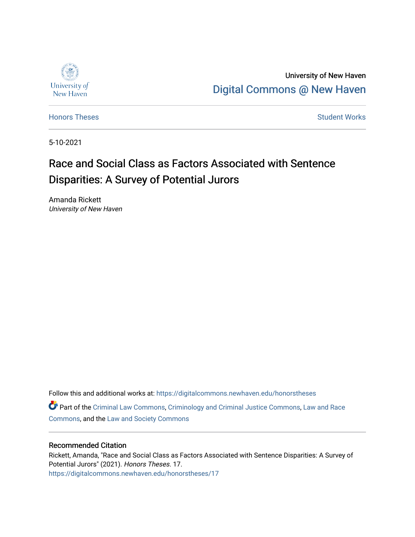

University of New Haven [Digital Commons @ New Haven](https://digitalcommons.newhaven.edu/) 

[Honors Theses](https://digitalcommons.newhaven.edu/honorstheses) **Student Works** [Student Works](https://digitalcommons.newhaven.edu/studentworks) **Student Works** 

5-10-2021

## Race and Social Class as Factors Associated with Sentence Disparities: A Survey of Potential Jurors

Amanda Rickett University of New Haven

Follow this and additional works at: [https://digitalcommons.newhaven.edu/honorstheses](https://digitalcommons.newhaven.edu/honorstheses?utm_source=digitalcommons.newhaven.edu%2Fhonorstheses%2F17&utm_medium=PDF&utm_campaign=PDFCoverPages) 

Part of the [Criminal Law Commons,](http://network.bepress.com/hgg/discipline/912?utm_source=digitalcommons.newhaven.edu%2Fhonorstheses%2F17&utm_medium=PDF&utm_campaign=PDFCoverPages) [Criminology and Criminal Justice Commons](http://network.bepress.com/hgg/discipline/367?utm_source=digitalcommons.newhaven.edu%2Fhonorstheses%2F17&utm_medium=PDF&utm_campaign=PDFCoverPages), [Law and Race](http://network.bepress.com/hgg/discipline/1300?utm_source=digitalcommons.newhaven.edu%2Fhonorstheses%2F17&utm_medium=PDF&utm_campaign=PDFCoverPages)  [Commons](http://network.bepress.com/hgg/discipline/1300?utm_source=digitalcommons.newhaven.edu%2Fhonorstheses%2F17&utm_medium=PDF&utm_campaign=PDFCoverPages), and the [Law and Society Commons](http://network.bepress.com/hgg/discipline/853?utm_source=digitalcommons.newhaven.edu%2Fhonorstheses%2F17&utm_medium=PDF&utm_campaign=PDFCoverPages)

#### Recommended Citation

Rickett, Amanda, "Race and Social Class as Factors Associated with Sentence Disparities: A Survey of Potential Jurors" (2021). Honors Theses. 17. [https://digitalcommons.newhaven.edu/honorstheses/17](https://digitalcommons.newhaven.edu/honorstheses/17?utm_source=digitalcommons.newhaven.edu%2Fhonorstheses%2F17&utm_medium=PDF&utm_campaign=PDFCoverPages)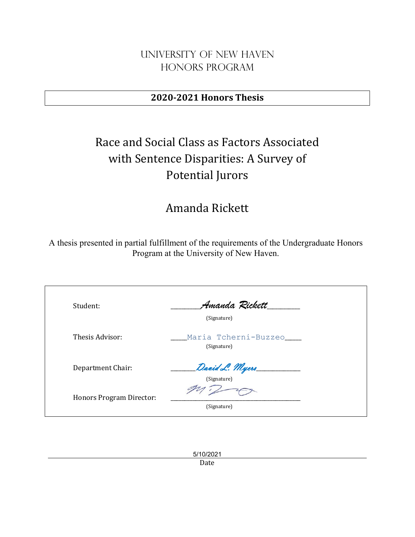## University of New Haven Honors Program

## **2020-2021 Honors Thesis**

# Race and Social Class as Factors Associated with Sentence Disparities: A Survey of Potential Jurors

## Amanda Rickett

A thesis presented in partial fulfillment of the requirements of the Undergraduate Honors Program at the University of New Haven.

| Student:                 | Amanda Rickett<br>(Signature)       |
|--------------------------|-------------------------------------|
| Thesis Advisor:          | Maria Tcherni-Buzzeo<br>(Signature) |
| Department Chair:        | David L. Myers<br>(Signature)       |
| Honors Program Director: | (Signature)                         |

5/10/2021 Date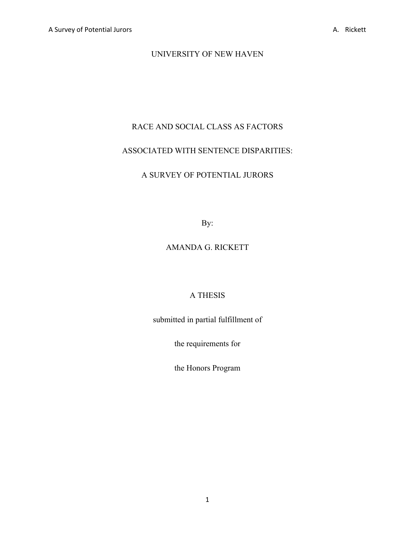## UNIVERSITY OF NEW HAVEN

## RACE AND SOCIAL CLASS AS FACTORS

## ASSOCIATED WITH SENTENCE DISPARITIES:

## A SURVEY OF POTENTIAL JURORS

By:

## AMANDA G. RICKETT

## A THESIS

submitted in partial fulfillment of

the requirements for

the Honors Program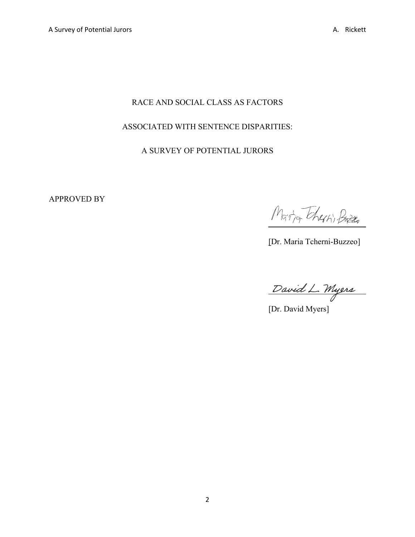## RACE AND SOCIAL CLASS AS FACTORS

## ASSOCIATED WITH SENTENCE DISPARITIES:

## A SURVEY OF POTENTIAL JURORS

APPROVED BY

Martia Theshi Buzzo

[Dr. Maria Tcherni-Buzzeo]

David L. Myers

[Dr. David Myers]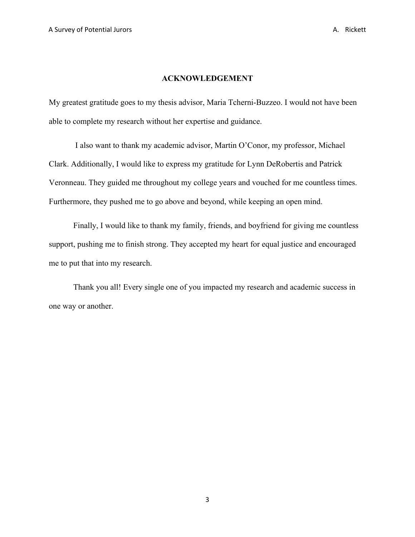#### **ACKNOWLEDGEMENT**

My greatest gratitude goes to my thesis advisor, Maria Tcherni-Buzzeo. I would not have been able to complete my research without her expertise and guidance.

I also want to thank my academic advisor, Martin O'Conor, my professor, Michael Clark. Additionally, I would like to express my gratitude for Lynn DeRobertis and Patrick Veronneau. They guided me throughout my college years and vouched for me countless times. Furthermore, they pushed me to go above and beyond, while keeping an open mind.

Finally, I would like to thank my family, friends, and boyfriend for giving me countless support, pushing me to finish strong. They accepted my heart for equal justice and encouraged me to put that into my research.

Thank you all! Every single one of you impacted my research and academic success in one way or another.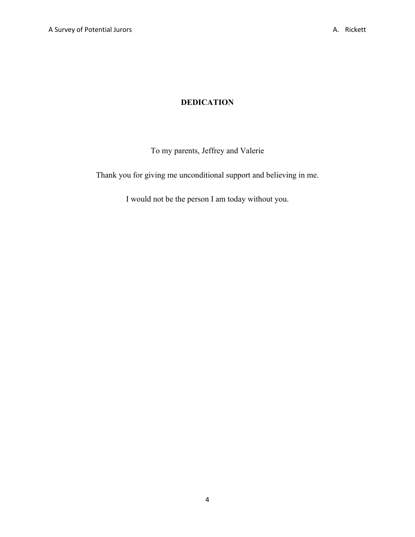## **DEDICATION**

To my parents, Jeffrey and Valerie

Thank you for giving me unconditional support and believing in me.

I would not be the person I am today without you.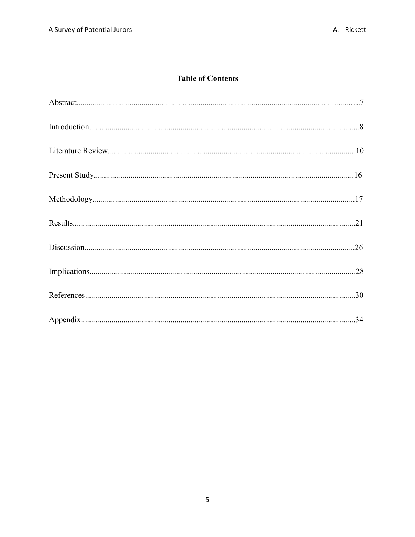## **Table of Contents**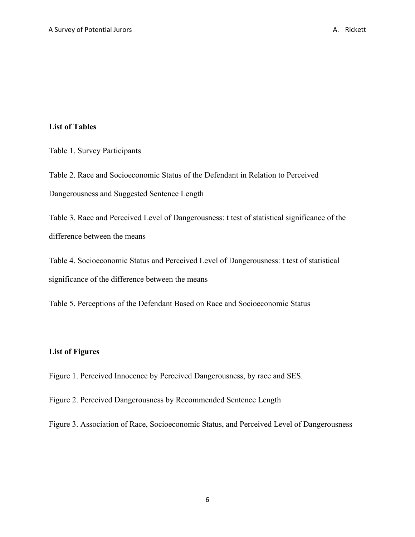#### **List of Tables**

Table 1. Survey Participants

Table 2. Race and Socioeconomic Status of the Defendant in Relation to Perceived Dangerousness and Suggested Sentence Length

Table 3. Race and Perceived Level of Dangerousness: t test of statistical significance of the difference between the means

Table 4. Socioeconomic Status and Perceived Level of Dangerousness: t test of statistical significance of the difference between the means

Table 5. Perceptions of the Defendant Based on Race and Socioeconomic Status

#### **List of Figures**

Figure 1. Perceived Innocence by Perceived Dangerousness, by race and SES.

Figure 2. Perceived Dangerousness by Recommended Sentence Length

Figure 3. Association of Race, Socioeconomic Status, and Perceived Level of Dangerousness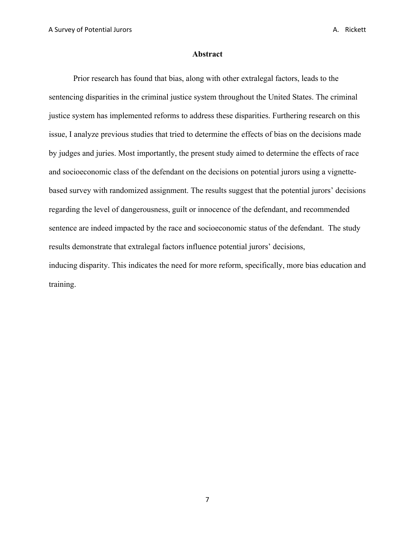#### **Abstract**

Prior research has found that bias, along with other extralegal factors, leads to the sentencing disparities in the criminal justice system throughout the United States. The criminal justice system has implemented reforms to address these disparities. Furthering research on this issue, I analyze previous studies that tried to determine the effects of bias on the decisions made by judges and juries. Most importantly, the present study aimed to determine the effects of race and socioeconomic class of the defendant on the decisions on potential jurors using a vignettebased survey with randomized assignment. The results suggest that the potential jurors' decisions regarding the level of dangerousness, guilt or innocence of the defendant, and recommended sentence are indeed impacted by the race and socioeconomic status of the defendant. The study results demonstrate that extralegal factors influence potential jurors' decisions, inducing disparity. This indicates the need for more reform, specifically, more bias education and training.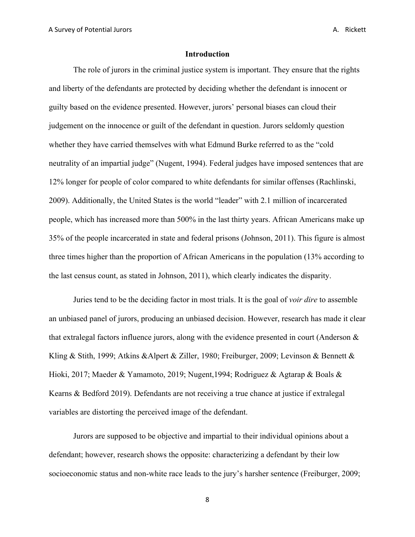#### **Introduction**

The role of jurors in the criminal justice system is important. They ensure that the rights and liberty of the defendants are protected by deciding whether the defendant is innocent or guilty based on the evidence presented. However, jurors' personal biases can cloud their judgement on the innocence or guilt of the defendant in question. Jurors seldomly question whether they have carried themselves with what Edmund Burke referred to as the "cold neutrality of an impartial judge" (Nugent, 1994). Federal judges have imposed sentences that are 12% longer for people of color compared to white defendants for similar offenses (Rachlinski, 2009). Additionally, the United States is the world "leader" with 2.1 million of incarcerated people, which has increased more than 500% in the last thirty years. African Americans make up 35% of the people incarcerated in state and federal prisons (Johnson, 2011). This figure is almost three times higher than the proportion of African Americans in the population (13% according to the last census count, as stated in Johnson, 2011), which clearly indicates the disparity.

Juries tend to be the deciding factor in most trials. It is the goal of *voir dire* to assemble an unbiased panel of jurors, producing an unbiased decision. However, research has made it clear that extralegal factors influence jurors, along with the evidence presented in court (Anderson & Kling & Stith, 1999; Atkins &Alpert & Ziller, 1980; Freiburger, 2009; Levinson & Bennett & Hioki, 2017; Maeder & Yamamoto, 2019; Nugent,1994; Rodriguez & Agtarap & Boals & Kearns & Bedford 2019). Defendants are not receiving a true chance at justice if extralegal variables are distorting the perceived image of the defendant.

Jurors are supposed to be objective and impartial to their individual opinions about a defendant; however, research shows the opposite: characterizing a defendant by their low socioeconomic status and non-white race leads to the jury's harsher sentence (Freiburger, 2009;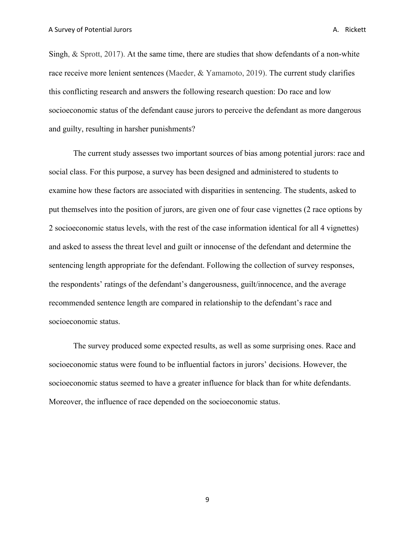Singh, & Sprott, 2017). At the same time, there are studies that show defendants of a non-white race receive more lenient sentences (Maeder, & Yamamoto, 2019). The current study clarifies this conflicting research and answers the following research question: Do race and low socioeconomic status of the defendant cause jurors to perceive the defendant as more dangerous and guilty, resulting in harsher punishments?

The current study assesses two important sources of bias among potential jurors: race and social class. For this purpose, a survey has been designed and administered to students to examine how these factors are associated with disparities in sentencing. The students, asked to put themselves into the position of jurors, are given one of four case vignettes (2 race options by 2 socioeconomic status levels, with the rest of the case information identical for all 4 vignettes) and asked to assess the threat level and guilt or innocense of the defendant and determine the sentencing length appropriate for the defendant. Following the collection of survey responses, the respondents' ratings of the defendant's dangerousness, guilt/innocence, and the average recommended sentence length are compared in relationship to the defendant's race and socioeconomic status.

The survey produced some expected results, as well as some surprising ones. Race and socioeconomic status were found to be influential factors in jurors' decisions. However, the socioeconomic status seemed to have a greater influence for black than for white defendants. Moreover, the influence of race depended on the socioeconomic status.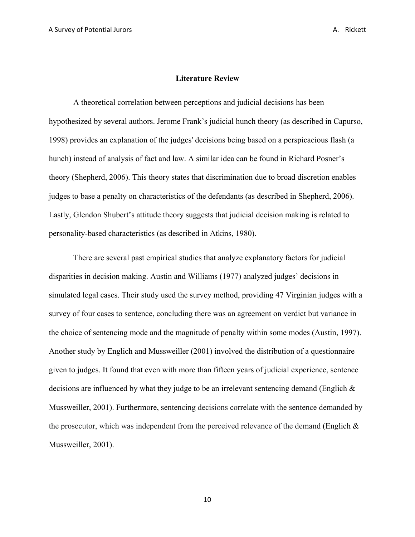#### **Literature Review**

A theoretical correlation between perceptions and judicial decisions has been hypothesized by several authors. Jerome Frank's judicial hunch theory (as described in Capurso, 1998) provides an explanation of the judges' decisions being based on a perspicacious flash (a hunch) instead of analysis of fact and law. A similar idea can be found in Richard Posner's theory (Shepherd, 2006). This theory states that discrimination due to broad discretion enables judges to base a penalty on characteristics of the defendants (as described in Shepherd, 2006). Lastly, Glendon Shubert's attitude theory suggests that judicial decision making is related to personality-based characteristics (as described in Atkins, 1980).

There are several past empirical studies that analyze explanatory factors for judicial disparities in decision making. Austin and Williams (1977) analyzed judges' decisions in simulated legal cases. Their study used the survey method, providing 47 Virginian judges with a survey of four cases to sentence, concluding there was an agreement on verdict but variance in the choice of sentencing mode and the magnitude of penalty within some modes (Austin, 1997). Another study by Englich and Mussweiller (2001) involved the distribution of a questionnaire given to judges. It found that even with more than fifteen years of judicial experience, sentence decisions are influenced by what they judge to be an irrelevant sentencing demand (Englich & Mussweiller, 2001). Furthermore, sentencing decisions correlate with the sentence demanded by the prosecutor, which was independent from the perceived relevance of the demand (Englich & Mussweiller, 2001).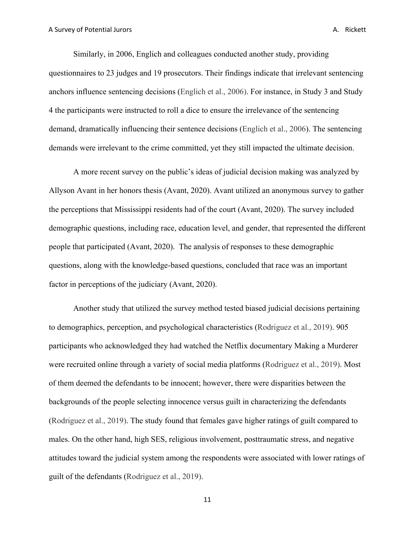Similarly, in 2006, Englich and colleagues conducted another study, providing questionnaires to 23 judges and 19 prosecutors. Their findings indicate that irrelevant sentencing anchors influence sentencing decisions (Englich et al., 2006). For instance, in Study 3 and Study 4 the participants were instructed to roll a dice to ensure the irrelevance of the sentencing demand, dramatically influencing their sentence decisions (Englich et al., 2006). The sentencing demands were irrelevant to the crime committed, yet they still impacted the ultimate decision.

A more recent survey on the public's ideas of judicial decision making was analyzed by Allyson Avant in her honors thesis (Avant, 2020). Avant utilized an anonymous survey to gather the perceptions that Mississippi residents had of the court (Avant, 2020). The survey included demographic questions, including race, education level, and gender, that represented the different people that participated (Avant, 2020). The analysis of responses to these demographic questions, along with the knowledge-based questions, concluded that race was an important factor in perceptions of the judiciary (Avant, 2020).

Another study that utilized the survey method tested biased judicial decisions pertaining to demographics, perception, and psychological characteristics (Rodriguez et al., 2019). 905 participants who acknowledged they had watched the Netflix documentary Making a Murderer were recruited online through a variety of social media platforms (Rodriguez et al., 2019). Most of them deemed the defendants to be innocent; however, there were disparities between the backgrounds of the people selecting innocence versus guilt in characterizing the defendants (Rodriguez et al., 2019). The study found that females gave higher ratings of guilt compared to males. On the other hand, high SES, religious involvement, posttraumatic stress, and negative attitudes toward the judicial system among the respondents were associated with lower ratings of guilt of the defendants (Rodriguez et al., 2019).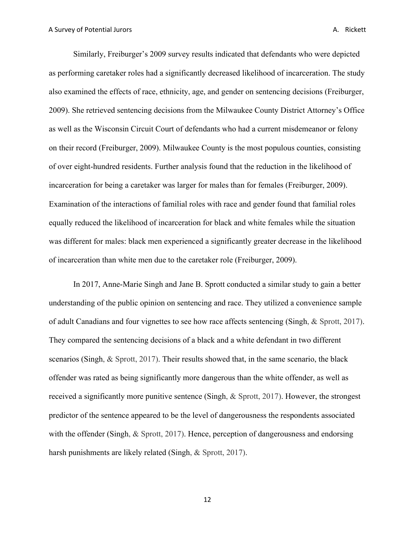Similarly, Freiburger's 2009 survey results indicated that defendants who were depicted as performing caretaker roles had a significantly decreased likelihood of incarceration. The study also examined the effects of race, ethnicity, age, and gender on sentencing decisions (Freiburger, 2009). She retrieved sentencing decisions from the Milwaukee County District Attorney's Office as well as the Wisconsin Circuit Court of defendants who had a current misdemeanor or felony on their record (Freiburger, 2009). Milwaukee County is the most populous counties, consisting of over eight-hundred residents. Further analysis found that the reduction in the likelihood of incarceration for being a caretaker was larger for males than for females (Freiburger, 2009). Examination of the interactions of familial roles with race and gender found that familial roles equally reduced the likelihood of incarceration for black and white females while the situation was different for males: black men experienced a significantly greater decrease in the likelihood of incarceration than white men due to the caretaker role (Freiburger, 2009).

In 2017, Anne-Marie Singh and Jane B. Sprott conducted a similar study to gain a better understanding of the public opinion on sentencing and race. They utilized a convenience sample of adult Canadians and four vignettes to see how race affects sentencing (Singh, & Sprott, 2017). They compared the sentencing decisions of a black and a white defendant in two different scenarios (Singh, & Sprott, 2017). Their results showed that, in the same scenario, the black offender was rated as being significantly more dangerous than the white offender, as well as received a significantly more punitive sentence (Singh,  $\&$  Sprott, 2017). However, the strongest predictor of the sentence appeared to be the level of dangerousness the respondents associated with the offender (Singh, & Sprott, 2017). Hence, perception of dangerousness and endorsing harsh punishments are likely related (Singh, & Sprott, 2017).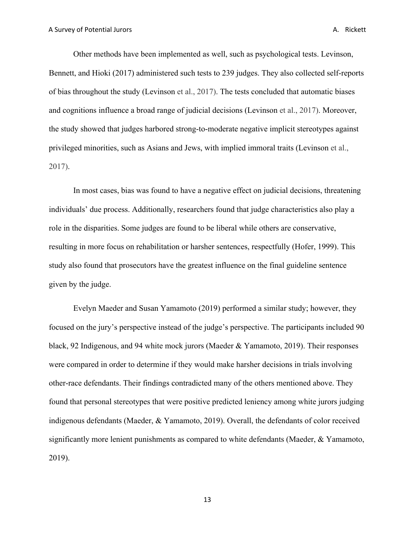Other methods have been implemented as well, such as psychological tests. Levinson, Bennett, and Hioki (2017) administered such tests to 239 judges. They also collected self-reports of bias throughout the study (Levinson et al., 2017). The tests concluded that automatic biases and cognitions influence a broad range of judicial decisions (Levinson et al., 2017). Moreover, the study showed that judges harbored strong-to-moderate negative implicit stereotypes against privileged minorities, such as Asians and Jews, with implied immoral traits (Levinson et al., 2017).

In most cases, bias was found to have a negative effect on judicial decisions, threatening individuals' due process. Additionally, researchers found that judge characteristics also play a role in the disparities. Some judges are found to be liberal while others are conservative, resulting in more focus on rehabilitation or harsher sentences, respectfully (Hofer, 1999). This study also found that prosecutors have the greatest influence on the final guideline sentence given by the judge.

Evelyn Maeder and Susan Yamamoto (2019) performed a similar study; however, they focused on the jury's perspective instead of the judge's perspective. The participants included 90 black, 92 Indigenous, and 94 white mock jurors (Maeder & Yamamoto, 2019). Their responses were compared in order to determine if they would make harsher decisions in trials involving other-race defendants. Their findings contradicted many of the others mentioned above. They found that personal stereotypes that were positive predicted leniency among white jurors judging indigenous defendants (Maeder, & Yamamoto, 2019). Overall, the defendants of color received significantly more lenient punishments as compared to white defendants (Maeder, & Yamamoto, 2019).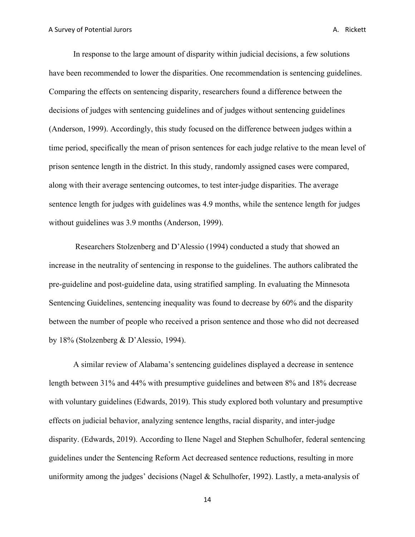In response to the large amount of disparity within judicial decisions, a few solutions have been recommended to lower the disparities. One recommendation is sentencing guidelines. Comparing the effects on sentencing disparity, researchers found a difference between the decisions of judges with sentencing guidelines and of judges without sentencing guidelines (Anderson, 1999). Accordingly, this study focused on the difference between judges within a time period, specifically the mean of prison sentences for each judge relative to the mean level of prison sentence length in the district. In this study, randomly assigned cases were compared, along with their average sentencing outcomes, to test inter-judge disparities. The average sentence length for judges with guidelines was 4.9 months, while the sentence length for judges without guidelines was 3.9 months (Anderson, 1999).

Researchers Stolzenberg and D'Alessio (1994) conducted a study that showed an increase in the neutrality of sentencing in response to the guidelines. The authors calibrated the pre-guideline and post-guideline data, using stratified sampling. In evaluating the Minnesota Sentencing Guidelines, sentencing inequality was found to decrease by 60% and the disparity between the number of people who received a prison sentence and those who did not decreased by 18% (Stolzenberg & D'Alessio, 1994).

A similar review of Alabama's sentencing guidelines displayed a decrease in sentence length between 31% and 44% with presumptive guidelines and between 8% and 18% decrease with voluntary guidelines (Edwards, 2019). This study explored both voluntary and presumptive effects on judicial behavior, analyzing sentence lengths, racial disparity, and inter-judge disparity. (Edwards, 2019). According to Ilene Nagel and Stephen Schulhofer, federal sentencing guidelines under the Sentencing Reform Act decreased sentence reductions, resulting in more uniformity among the judges' decisions (Nagel & Schulhofer, 1992). Lastly, a meta-analysis of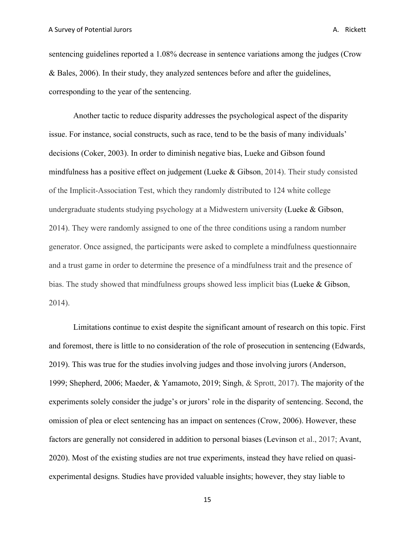sentencing guidelines reported a 1.08% decrease in sentence variations among the judges (Crow & Bales, 2006). In their study, they analyzed sentences before and after the guidelines, corresponding to the year of the sentencing.

Another tactic to reduce disparity addresses the psychological aspect of the disparity issue. For instance, social constructs, such as race, tend to be the basis of many individuals' decisions (Coker, 2003). In order to diminish negative bias, Lueke and Gibson found mindfulness has a positive effect on judgement (Lueke & Gibson, 2014). Their study consisted of the Implicit-Association Test, which they randomly distributed to 124 white college undergraduate students studying psychology at a Midwestern university (Lueke & Gibson, 2014). They were randomly assigned to one of the three conditions using a random number generator. Once assigned, the participants were asked to complete a mindfulness questionnaire and a trust game in order to determine the presence of a mindfulness trait and the presence of bias. The study showed that mindfulness groups showed less implicit bias (Lueke & Gibson, 2014).

Limitations continue to exist despite the significant amount of research on this topic. First and foremost, there is little to no consideration of the role of prosecution in sentencing (Edwards, 2019). This was true for the studies involving judges and those involving jurors (Anderson, 1999; Shepherd, 2006; Maeder, & Yamamoto, 2019; Singh, & Sprott, 2017). The majority of the experiments solely consider the judge's or jurors' role in the disparity of sentencing. Second, the omission of plea or elect sentencing has an impact on sentences (Crow, 2006). However, these factors are generally not considered in addition to personal biases (Levinson et al., 2017; Avant, 2020). Most of the existing studies are not true experiments, instead they have relied on quasiexperimental designs. Studies have provided valuable insights; however, they stay liable to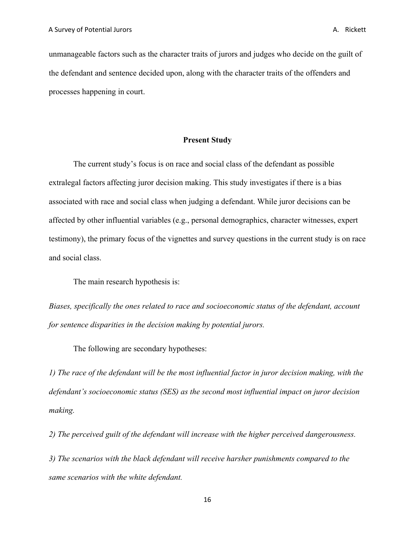unmanageable factors such as the character traits of jurors and judges who decide on the guilt of the defendant and sentence decided upon, along with the character traits of the offenders and processes happening in court.

#### **Present Study**

The current study's focus is on race and social class of the defendant as possible extralegal factors affecting juror decision making. This study investigates if there is a bias associated with race and social class when judging a defendant. While juror decisions can be affected by other influential variables (e.g., personal demographics, character witnesses, expert testimony), the primary focus of the vignettes and survey questions in the current study is on race and social class.

The main research hypothesis is:

*Biases, specifically the ones related to race and socioeconomic status of the defendant, account for sentence disparities in the decision making by potential jurors.*

The following are secondary hypotheses:

*1) The race of the defendant will be the most influential factor in juror decision making, with the defendant's socioeconomic status (SES) as the second most influential impact on juror decision making.*

*2) The perceived guilt of the defendant will increase with the higher perceived dangerousness.*

*3) The scenarios with the black defendant will receive harsher punishments compared to the same scenarios with the white defendant.*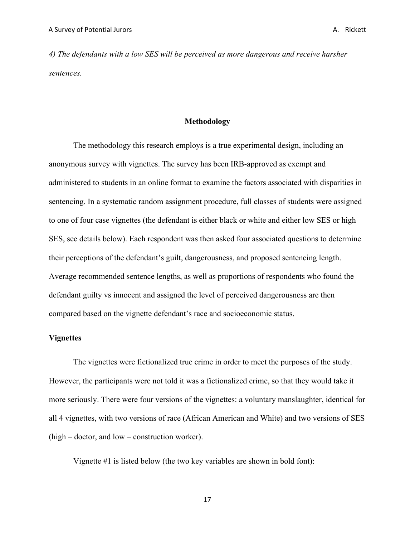*4) The defendants with a low SES will be perceived as more dangerous and receive harsher sentences.*

#### **Methodology**

The methodology this research employs is a true experimental design, including an anonymous survey with vignettes. The survey has been IRB-approved as exempt and administered to students in an online format to examine the factors associated with disparities in sentencing. In a systematic random assignment procedure, full classes of students were assigned to one of four case vignettes (the defendant is either black or white and either low SES or high SES, see details below). Each respondent was then asked four associated questions to determine their perceptions of the defendant's guilt, dangerousness, and proposed sentencing length. Average recommended sentence lengths, as well as proportions of respondents who found the defendant guilty vs innocent and assigned the level of perceived dangerousness are then compared based on the vignette defendant's race and socioeconomic status.

#### **Vignettes**

The vignettes were fictionalized true crime in order to meet the purposes of the study. However, the participants were not told it was a fictionalized crime, so that they would take it more seriously. There were four versions of the vignettes: a voluntary manslaughter, identical for all 4 vignettes, with two versions of race (African American and White) and two versions of SES (high – doctor, and low – construction worker).

Vignette #1 is listed below (the two key variables are shown in bold font):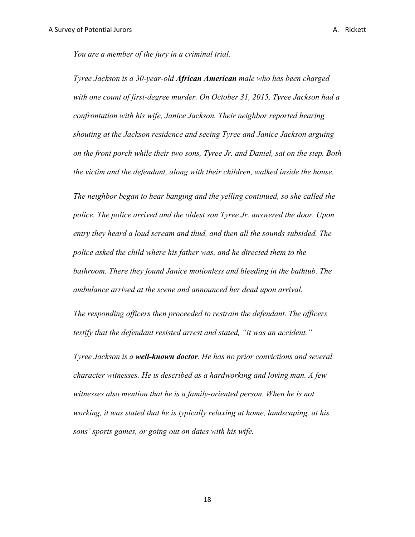*You are a member of the jury in a criminal trial.* 

*Tyree Jackson is a 30-year-old African American male who has been charged with one count of first-degree murder. On October 31, 2015, Tyree Jackson had a confrontation with his wife, Janice Jackson. Their neighbor reported hearing shouting at the Jackson residence and seeing Tyree and Janice Jackson arguing on the front porch while their two sons, Tyree Jr. and Daniel, sat on the step. Both the victim and the defendant, along with their children, walked inside the house.* 

*The neighbor began to hear banging and the yelling continued, so she called the police. The police arrived and the oldest son Tyree Jr. answered the door. Upon entry they heard a loud scream and thud, and then all the sounds subsided. The police asked the child where his father was, and he directed them to the bathroom. There they found Janice motionless and bleeding in the bathtub. The ambulance arrived at the scene and announced her dead upon arrival.* 

*The responding officers then proceeded to restrain the defendant. The officers testify that the defendant resisted arrest and stated, "it was an accident."*

*Tyree Jackson is a well-known doctor. He has no prior convictions and several character witnesses. He is described as a hardworking and loving man. A few*  witnesses also mention that he is a family-oriented person. When he is not *working, it was stated that he is typically relaxing at home, landscaping, at his sons' sports games, or going out on dates with his wife.*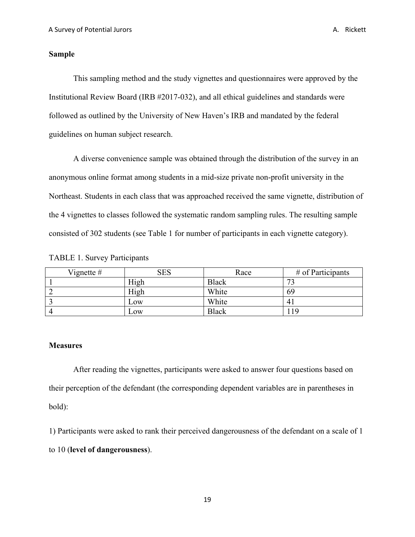#### **Sample**

This sampling method and the study vignettes and questionnaires were approved by the Institutional Review Board (IRB #2017-032), and all ethical guidelines and standards were followed as outlined by the University of New Haven's IRB and mandated by the federal guidelines on human subject research.

A diverse convenience sample was obtained through the distribution of the survey in an anonymous online format among students in a mid-size private non-profit university in the Northeast. Students in each class that was approached received the same vignette, distribution of the 4 vignettes to classes followed the systematic random sampling rules. The resulting sample consisted of 302 students (see Table 1 for number of participants in each vignette category).

|  |  |  | <b>TABLE 1. Survey Participants</b> |
|--|--|--|-------------------------------------|
|--|--|--|-------------------------------------|

| Vignette $#$ | <b>SES</b> | Race         | $#$ of Participants |
|--------------|------------|--------------|---------------------|
|              | High       | <b>Black</b> | $\mathbf{z}$        |
|              | High       | White        | 69                  |
|              | Low        | White        | 4.                  |
|              | Low        | <b>Black</b> | 19                  |

#### **Measures**

After reading the vignettes, participants were asked to answer four questions based on their perception of the defendant (the corresponding dependent variables are in parentheses in bold):

1) Participants were asked to rank their perceived dangerousness of the defendant on a scale of 1 to 10 (**level of dangerousness**).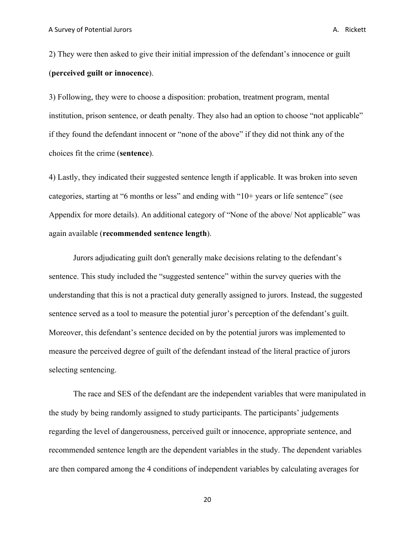2) They were then asked to give their initial impression of the defendant's innocence or guilt (**perceived guilt or innocence**).

3) Following, they were to choose a disposition: probation, treatment program, mental institution, prison sentence, or death penalty. They also had an option to choose "not applicable" if they found the defendant innocent or "none of the above" if they did not think any of the choices fit the crime (**sentence**).

4) Lastly, they indicated their suggested sentence length if applicable. It was broken into seven categories, starting at "6 months or less" and ending with "10+ years or life sentence" (see Appendix for more details). An additional category of "None of the above/ Not applicable" was again available (**recommended sentence length**).

Jurors adjudicating guilt don't generally make decisions relating to the defendant's sentence. This study included the "suggested sentence" within the survey queries with the understanding that this is not a practical duty generally assigned to jurors. Instead, the suggested sentence served as a tool to measure the potential juror's perception of the defendant's guilt. Moreover, this defendant's sentence decided on by the potential jurors was implemented to measure the perceived degree of guilt of the defendant instead of the literal practice of jurors selecting sentencing.

The race and SES of the defendant are the independent variables that were manipulated in the study by being randomly assigned to study participants. The participants' judgements regarding the level of dangerousness, perceived guilt or innocence, appropriate sentence, and recommended sentence length are the dependent variables in the study. The dependent variables are then compared among the 4 conditions of independent variables by calculating averages for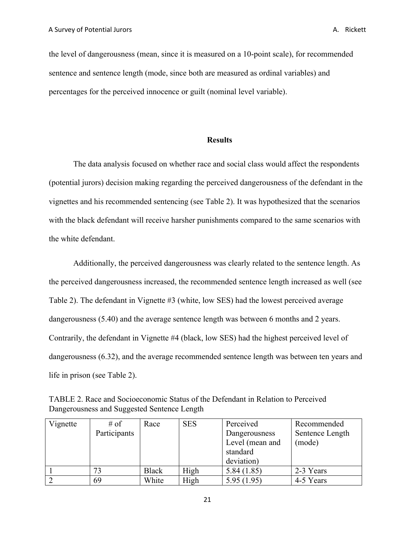the level of dangerousness (mean, since it is measured on a 10-point scale), for recommended sentence and sentence length (mode, since both are measured as ordinal variables) and percentages for the perceived innocence or guilt (nominal level variable).

#### **Results**

The data analysis focused on whether race and social class would affect the respondents (potential jurors) decision making regarding the perceived dangerousness of the defendant in the vignettes and his recommended sentencing (see Table 2). It was hypothesized that the scenarios with the black defendant will receive harsher punishments compared to the same scenarios with the white defendant.

Additionally, the perceived dangerousness was clearly related to the sentence length. As the perceived dangerousness increased, the recommended sentence length increased as well (see Table 2). The defendant in Vignette #3 (white, low SES) had the lowest perceived average dangerousness (5.40) and the average sentence length was between 6 months and 2 years. Contrarily, the defendant in Vignette #4 (black, low SES) had the highest perceived level of dangerousness (6.32), and the average recommended sentence length was between ten years and life in prison (see Table 2).

| TABLE 2. Race and Socioeconomic Status of the Defendant in Relation to Perceived |  |
|----------------------------------------------------------------------------------|--|
| Dangerousness and Suggested Sentence Length                                      |  |

| Vignette | $#$ of       | Race         | <b>SES</b> | Perceived       | Recommended     |
|----------|--------------|--------------|------------|-----------------|-----------------|
|          | Participants |              |            | Dangerousness   | Sentence Length |
|          |              |              |            | Level (mean and | (mode)          |
|          |              |              |            | standard        |                 |
|          |              |              |            | deviation)      |                 |
|          | 73           | <b>Black</b> | High       | 5.84(1.85)      | 2-3 Years       |
|          | 69           | White        | High       | 5.95(1.95)      | 4-5 Years       |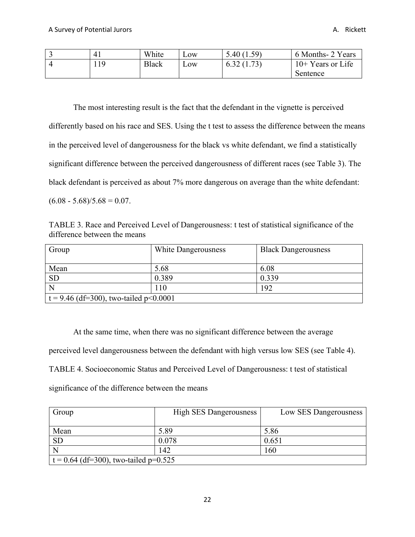|     | White | $L$ OW           | 5.40(1.59) | 6 Months- 2 Years   |
|-----|-------|------------------|------------|---------------------|
| 119 | Black | L <sub>0</sub> W | 6.32(1.73) | $10+$ Years or Life |
|     |       |                  |            | Sentence            |

The most interesting result is the fact that the defendant in the vignette is perceived differently based on his race and SES. Using the t test to assess the difference between the means in the perceived level of dangerousness for the black vs white defendant, we find a statistically significant difference between the perceived dangerousness of different races (see Table 3). The black defendant is perceived as about 7% more dangerous on average than the white defendant:  $(6.08 - 5.68)/5.68 = 0.07$ .

TABLE 3. Race and Perceived Level of Dangerousness: t test of statistical significance of the difference between the means

| Group                                    | White Dangerousness | <b>Black Dangerousness</b> |  |  |
|------------------------------------------|---------------------|----------------------------|--|--|
| Mean                                     | 5.68                | 6.08                       |  |  |
| <b>SD</b>                                | 0.389               | 0.339                      |  |  |
| N                                        | 110                 | 192                        |  |  |
| $t = 9.46$ (df=300), two-tailed p<0.0001 |                     |                            |  |  |

At the same time, when there was no significant difference between the average perceived level dangerousness between the defendant with high versus low SES (see Table 4). TABLE 4. Socioeconomic Status and Perceived Level of Dangerousness: t test of statistical significance of the difference between the means

| Group                                   | <b>High SES Dangerousness</b> | Low SES Dangerousness |  |  |
|-----------------------------------------|-------------------------------|-----------------------|--|--|
|                                         |                               |                       |  |  |
| Mean                                    | 5.89                          | 5.86                  |  |  |
| <b>SD</b>                               | 0.078                         | 0.651                 |  |  |
|                                         | 142                           | 160                   |  |  |
| $t = 0.64$ (df=300), two-tailed p=0.525 |                               |                       |  |  |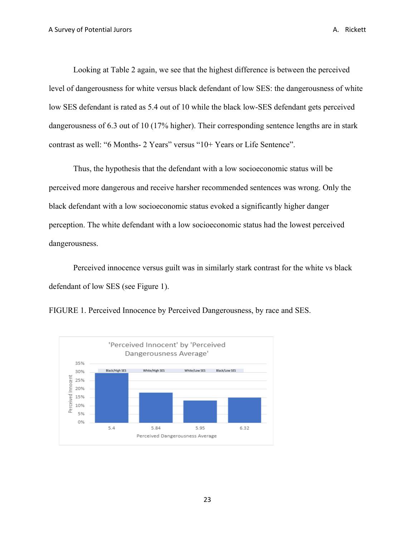Looking at Table 2 again, we see that the highest difference is between the perceived level of dangerousness for white versus black defendant of low SES: the dangerousness of white low SES defendant is rated as 5.4 out of 10 while the black low-SES defendant gets perceived dangerousness of 6.3 out of 10 (17% higher). Their corresponding sentence lengths are in stark contrast as well: "6 Months- 2 Years" versus "10+ Years or Life Sentence".

Thus, the hypothesis that the defendant with a low socioeconomic status will be perceived more dangerous and receive harsher recommended sentences was wrong. Only the black defendant with a low socioeconomic status evoked a significantly higher danger perception. The white defendant with a low socioeconomic status had the lowest perceived dangerousness.

Perceived innocence versus guilt was in similarly stark contrast for the white vs black defendant of low SES (see Figure 1).



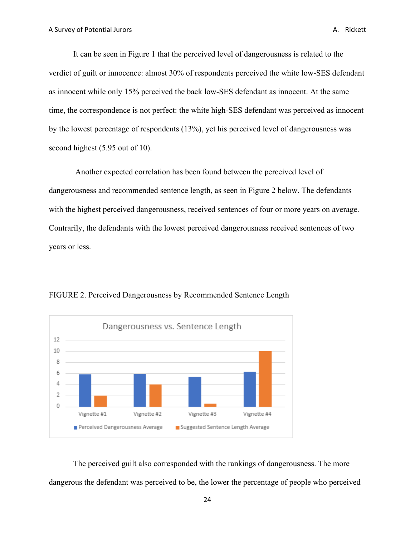It can be seen in Figure 1 that the perceived level of dangerousness is related to the verdict of guilt or innocence: almost 30% of respondents perceived the white low-SES defendant as innocent while only 15% perceived the back low-SES defendant as innocent. At the same time, the correspondence is not perfect: the white high-SES defendant was perceived as innocent by the lowest percentage of respondents (13%), yet his perceived level of dangerousness was second highest (5.95 out of 10).

Another expected correlation has been found between the perceived level of dangerousness and recommended sentence length, as seen in Figure 2 below. The defendants with the highest perceived dangerousness, received sentences of four or more years on average. Contrarily, the defendants with the lowest perceived dangerousness received sentences of two years or less.



FIGURE 2. Perceived Dangerousness by Recommended Sentence Length

The perceived guilt also corresponded with the rankings of dangerousness. The more dangerous the defendant was perceived to be, the lower the percentage of people who perceived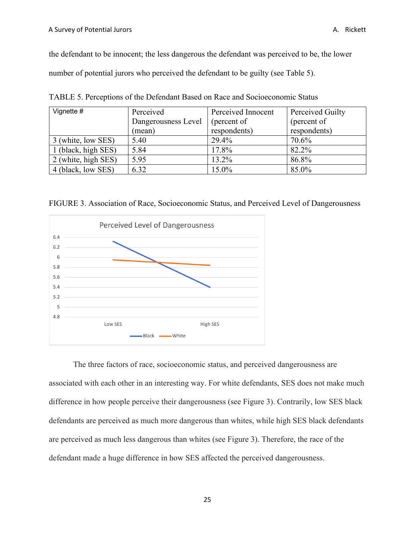the defendant to be innocent; the less dangerous the defendant was perceived to be, the lower number of potential jurors who perceived the defendant to be guilty (see Table 5).

| Vignette #          | Perceived           | Perceived Innocent | Perceived Guilty |
|---------------------|---------------------|--------------------|------------------|
|                     | Dangerousness Level | (percent of        | (percent of      |
|                     | (mean)              | respondents)       | respondents)     |
| 3 (white, low SES)  | 5.40                | 29.4%              | 70.6%            |
| 1 (black, high SES) | 5.84                | 17.8%              | 82.2%            |
| 2 (white, high SES) | 5.95                | 13.2%              | 86.8%            |
| 4 (black, low SES)  | 6.32                | 15.0%              | 85.0%            |

TABLE 5. Perceptions of the Defendant Based on Race and Socioeconomic Status

FIGURE 3. Association of Race, Socioeconomic Status, and Perceived Level of Dangerousness



The three factors of race, socioeconomic status, and perceived dangerousness are associated with each other in an interesting way. For white defendants, SES does not make much difference in how people perceive their dangerousness (see Figure 3). Contrarily, low SES black defendants are perceived as much more dangerous than whites, while high SES black defendants are perceived as much less dangerous than whites (see Figure 3). Therefore, the race of the defendant made a huge difference in how SES affected the perceived dangerousness.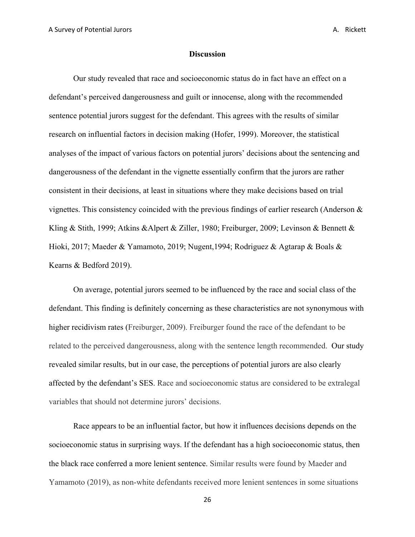#### **Discussion**

Our study revealed that race and socioeconomic status do in fact have an effect on a defendant's perceived dangerousness and guilt or innocense, along with the recommended sentence potential jurors suggest for the defendant. This agrees with the results of similar research on influential factors in decision making (Hofer, 1999). Moreover, the statistical analyses of the impact of various factors on potential jurors' decisions about the sentencing and dangerousness of the defendant in the vignette essentially confirm that the jurors are rather consistent in their decisions, at least in situations where they make decisions based on trial vignettes. This consistency coincided with the previous findings of earlier research (Anderson  $\&$ Kling & Stith, 1999; Atkins &Alpert & Ziller, 1980; Freiburger, 2009; Levinson & Bennett & Hioki, 2017; Maeder & Yamamoto, 2019; Nugent,1994; Rodriguez & Agtarap & Boals & Kearns & Bedford 2019).

On average, potential jurors seemed to be influenced by the race and social class of the defendant. This finding is definitely concerning as these characteristics are not synonymous with higher recidivism rates (Freiburger, 2009). Freiburger found the race of the defendant to be related to the perceived dangerousness, along with the sentence length recommended. Our study revealed similar results, but in our case, the perceptions of potential jurors are also clearly affected by the defendant's SES. Race and socioeconomic status are considered to be extralegal variables that should not determine jurors' decisions.

Race appears to be an influential factor, but how it influences decisions depends on the socioeconomic status in surprising ways. If the defendant has a high socioeconomic status, then the black race conferred a more lenient sentence. Similar results were found by Maeder and Yamamoto (2019), as non-white defendants received more lenient sentences in some situations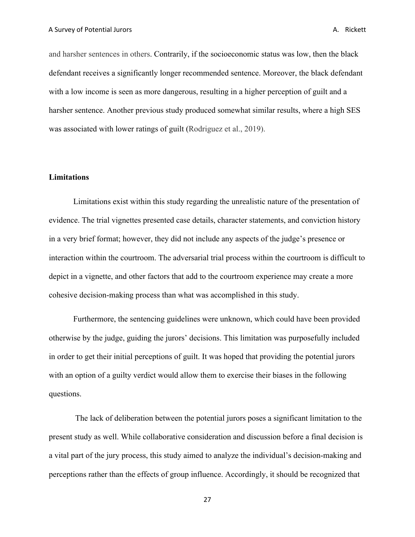and harsher sentences in others. Contrarily, if the socioeconomic status was low, then the black defendant receives a significantly longer recommended sentence. Moreover, the black defendant with a low income is seen as more dangerous, resulting in a higher perception of guilt and a harsher sentence. Another previous study produced somewhat similar results, where a high SES was associated with lower ratings of guilt (Rodriguez et al., 2019).

#### **Limitations**

Limitations exist within this study regarding the unrealistic nature of the presentation of evidence. The trial vignettes presented case details, character statements, and conviction history in a very brief format; however, they did not include any aspects of the judge's presence or interaction within the courtroom. The adversarial trial process within the courtroom is difficult to depict in a vignette, and other factors that add to the courtroom experience may create a more cohesive decision-making process than what was accomplished in this study.

Furthermore, the sentencing guidelines were unknown, which could have been provided otherwise by the judge, guiding the jurors' decisions. This limitation was purposefully included in order to get their initial perceptions of guilt. It was hoped that providing the potential jurors with an option of a guilty verdict would allow them to exercise their biases in the following questions.

The lack of deliberation between the potential jurors poses a significant limitation to the present study as well. While collaborative consideration and discussion before a final decision is a vital part of the jury process, this study aimed to analyze the individual's decision-making and perceptions rather than the effects of group influence. Accordingly, it should be recognized that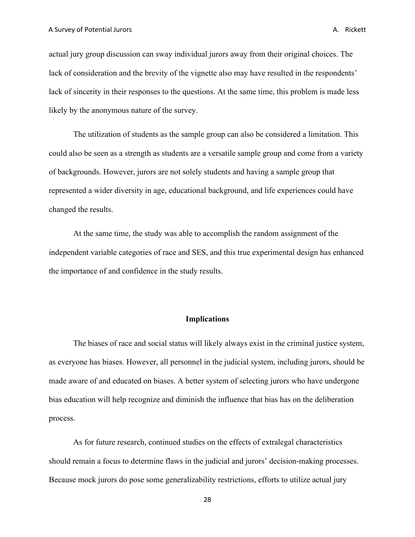actual jury group discussion can sway individual jurors away from their original choices. The lack of consideration and the brevity of the vignette also may have resulted in the respondents' lack of sincerity in their responses to the questions. At the same time, this problem is made less likely by the anonymous nature of the survey.

The utilization of students as the sample group can also be considered a limitation. This could also be seen as a strength as students are a versatile sample group and come from a variety of backgrounds. However, jurors are not solely students and having a sample group that represented a wider diversity in age, educational background, and life experiences could have changed the results.

At the same time, the study was able to accomplish the random assignment of the independent variable categories of race and SES, and this true experimental design has enhanced the importance of and confidence in the study results.

#### **Implications**

The biases of race and social status will likely always exist in the criminal justice system, as everyone has biases. However, all personnel in the judicial system, including jurors, should be made aware of and educated on biases. A better system of selecting jurors who have undergone bias education will help recognize and diminish the influence that bias has on the deliberation process.

As for future research, continued studies on the effects of extralegal characteristics should remain a focus to determine flaws in the judicial and jurors' decision-making processes. Because mock jurors do pose some generalizability restrictions, efforts to utilize actual jury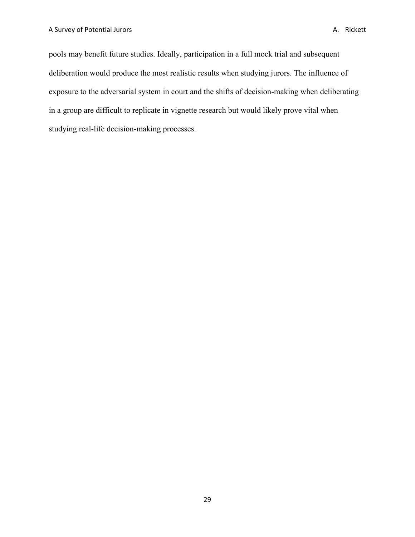pools may benefit future studies. Ideally, participation in a full mock trial and subsequent deliberation would produce the most realistic results when studying jurors. The influence of exposure to the adversarial system in court and the shifts of decision-making when deliberating in a group are difficult to replicate in vignette research but would likely prove vital when studying real-life decision-making processes.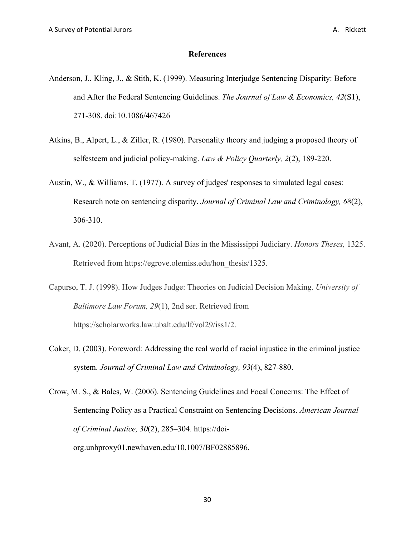#### **References**

- Anderson, J., Kling, J., & Stith, K. (1999). Measuring Interjudge Sentencing Disparity: Before and After the Federal Sentencing Guidelines. *The Journal of Law & Economics, 42*(S1), 271-308. doi:10.1086/467426
- Atkins, B., Alpert, L., & Ziller, R. (1980). Personality theory and judging a proposed theory of selfesteem and judicial policy-making. *Law & Policy Quarterly, 2*(2), 189-220.
- Austin, W., & Williams, T. (1977). A survey of judges' responses to simulated legal cases: Research note on sentencing disparity. *Journal of Criminal Law and Criminology, 68*(2), 306-310.
- Avant, A. (2020). Perceptions of Judicial Bias in the Mississippi Judiciary. *Honors Theses,* 1325. Retrieved from https://egrove.olemiss.edu/hon\_thesis/1325.
- Capurso, T. J. (1998). How Judges Judge: Theories on Judicial Decision Making. *University of Baltimore Law Forum, 29*(1), 2nd ser. Retrieved from https://scholarworks.law.ubalt.edu/lf/vol29/iss1/2.
- Coker, D. (2003). Foreword: Addressing the real world of racial injustice in the criminal justice system. *Journal of Criminal Law and Criminology, 93*(4), 827-880.
- Crow, M. S., & Bales, W. (2006). Sentencing Guidelines and Focal Concerns: The Effect of Sentencing Policy as a Practical Constraint on Sentencing Decisions. *American Journal of Criminal Justice, 30*(2), 285–304. https://doiorg.unhproxy01.newhaven.edu/10.1007/BF02885896.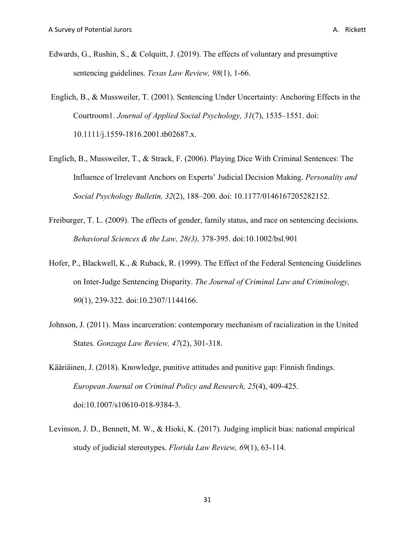- Edwards, G., Rushin, S., & Colquitt, J. (2019). The effects of voluntary and presumptive sentencing guidelines. *Texas Law Review, 98*(1), 1-66.
- Englich, B., & Mussweiler, T. (2001). Sentencing Under Uncertainty: Anchoring Effects in the Courtroom1. *Journal of Applied Social Psychology, 31*(7), 1535–1551. doi: 10.1111/j.1559-1816.2001.tb02687.x.
- Englich, B., Mussweiler, T., & Strack, F. (2006). Playing Dice With Criminal Sentences: The Influence of Irrelevant Anchors on Experts' Judicial Decision Making. *Personality and Social Psychology Bulletin, 32*(2), 188–200. doi: 10.1177/0146167205282152.
- Freiburger, T. L. (2009). The effects of gender, family status, and race on sentencing decisions. *Behavioral Sciences & the Law, 28(3),* 378-395. doi:10.1002/bsl.901
- Hofer, P., Blackwell, K., & Ruback, R. (1999). The Effect of the Federal Sentencing Guidelines on Inter-Judge Sentencing Disparity. *The Journal of Criminal Law and Criminology, 90*(1), 239-322. doi:10.2307/1144166.
- Johnson, J. (2011). Mass incarceration: contemporary mechanism of racialization in the United States. *Gonzaga Law Review, 47*(2), 301-318.
- Kääriäinen, J. (2018). Knowledge, punitive attitudes and punitive gap: Finnish findings. *European Journal on Criminal Policy and Research, 25*(4), 409-425. doi:10.1007/s10610-018-9384-3.
- Levinson, J. D., Bennett, M. W., & Hioki, K. (2017). Judging implicit bias: national empirical study of judicial stereotypes. *Florida Law Review, 69*(1), 63-114.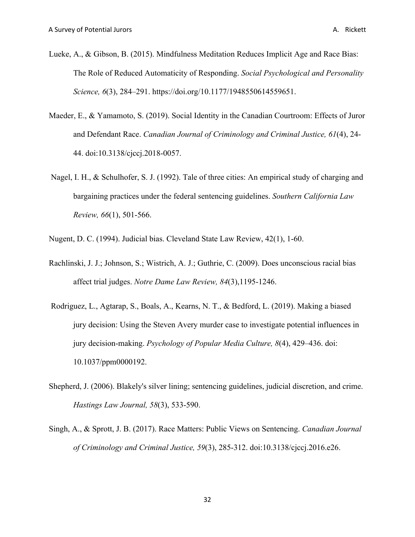- Lueke, A., & Gibson, B. (2015). Mindfulness Meditation Reduces Implicit Age and Race Bias: The Role of Reduced Automaticity of Responding. *Social Psychological and Personality Science, 6*(3), 284–291. https://doi.org/10.1177/1948550614559651.
- Maeder, E., & Yamamoto, S. (2019). Social Identity in the Canadian Courtroom: Effects of Juror and Defendant Race. *Canadian Journal of Criminology and Criminal Justice, 61*(4), 24- 44. doi:10.3138/cjccj.2018-0057.
- Nagel, I. H., & Schulhofer, S. J. (1992). Tale of three cities: An empirical study of charging and bargaining practices under the federal sentencing guidelines. *Southern California Law Review, 66*(1), 501-566.
- Nugent, D. C. (1994). Judicial bias. Cleveland State Law Review, 42(1), 1-60.
- Rachlinski, J. J.; Johnson, S.; Wistrich, A. J.; Guthrie, C. (2009). Does unconscious racial bias affect trial judges. *Notre Dame Law Review, 84*(3),1195-1246.
- Rodriguez, L., Agtarap, S., Boals, A., Kearns, N. T., & Bedford, L. (2019). Making a biased jury decision: Using the Steven Avery murder case to investigate potential influences in jury decision-making. *Psychology of Popular Media Culture, 8*(4), 429–436. doi: 10.1037/ppm0000192.
- Shepherd, J. (2006). Blakely's silver lining; sentencing guidelines, judicial discretion, and crime. *Hastings Law Journal, 58*(3), 533-590.
- Singh, A., & Sprott, J. B. (2017). Race Matters: Public Views on Sentencing. *Canadian Journal of Criminology and Criminal Justice, 59*(3), 285-312. doi:10.3138/cjccj.2016.e26.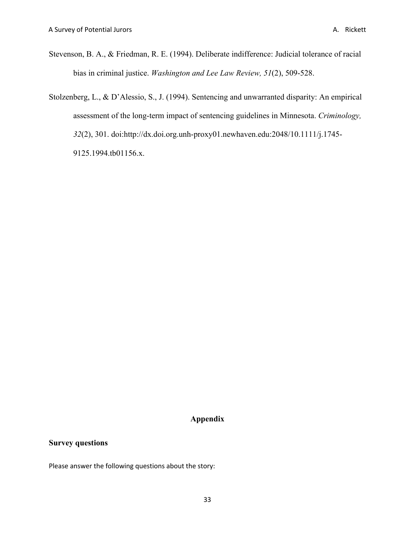Stevenson, B. A., & Friedman, R. E. (1994). Deliberate indifference: Judicial tolerance of racial bias in criminal justice. *Washington and Lee Law Review, 51*(2), 509-528.

Stolzenberg, L., & D'Alessio, S., J. (1994). Sentencing and unwarranted disparity: An empirical assessment of the long-term impact of sentencing guidelines in Minnesota. *Criminology, 32*(2), 301. doi:http://dx.doi.org.unh-proxy01.newhaven.edu:2048/10.1111/j.1745- 9125.1994.tb01156.x.

## **Appendix**

#### **Survey questions**

Please answer the following questions about the story: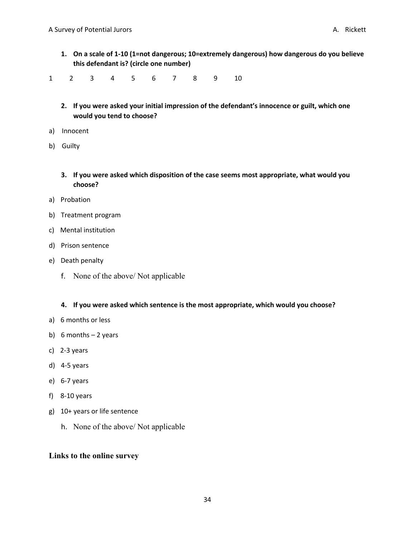**1. On a scale of 1-10 (1=not dangerous; 10=extremely dangerous) how dangerous do you believe this defendant is? (circle one number)**

1 2 3 4 5 6 7 8 9 10

- **2. If you were asked your initial impression of the defendant's innocence or guilt, which one would you tend to choose?**
- a) Innocent
- b) Guilty
	- **3. If you were asked which disposition of the case seems most appropriate, what would you choose?**
- a) Probation
- b) Treatment program
- c) Mental institution
- d) Prison sentence
- e) Death penalty
	- f. None of the above/ Not applicable

**4. If you were asked which sentence is the most appropriate, which would you choose?**

- a) 6 months or less
- b) 6 months 2 years
- c) 2-3 years
- d) 4-5 years
- e) 6-7 years
- f) 8-10 years
- g) 10+ years or life sentence
	- h. None of the above/ Not applicable

#### **Links to the online survey**